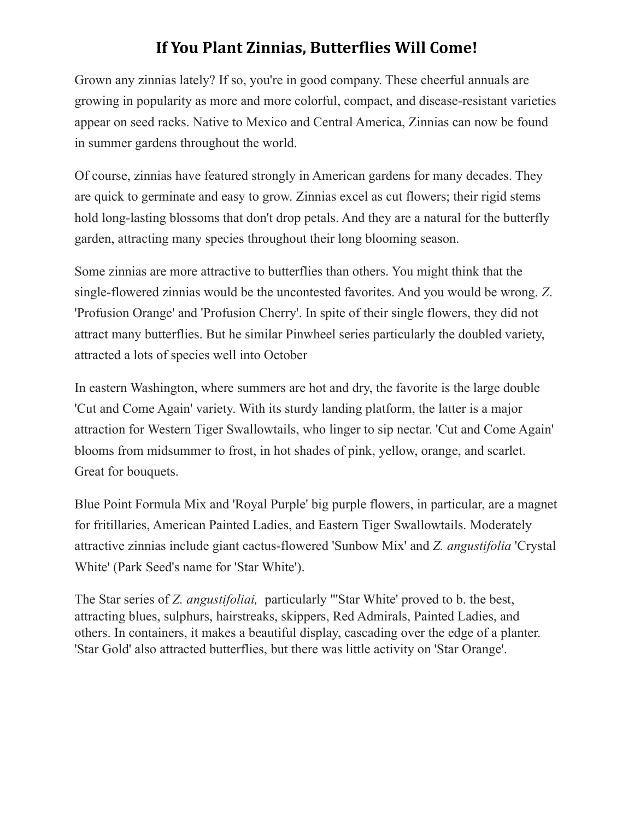## **If You Plant Zinnias, Butterflies Will Come!**

Grown any zinnias lately? If so, you're in good company. These cheerful annuals are growing in popularity as more and more colorful, compact, and disease-resistant varieties appear on seed racks. Native to Mexico and Central America, Zinnias can now be found in summer gardens throughout the world.

Of course, zinnias have featured strongly in American gardens for many decades. They are quick to germinate and easy to grow. Zinnias excel as cut flowers; their rigid stems hold long-lasting blossoms that don't drop petals. And they are a natural for the butterfly garden, attracting many species throughout their long blooming season.

Some zinnias are more attractive to butterflies than others. You might think that the single-flowered zinnias would be the uncontested favorites. And you would be wrong. *Z*. 'Profusion Orange' and 'Profusion Cherry'. In spite of their single flowers, they did not attract many butterflies. But he similar Pinwheel series particularly the doubled variety, attracted a lots of species well into October

In eastern Washington, where summers are hot and dry, the favorite is the large double 'Cut and Come Again' variety. With its sturdy landing platform, the latter is a major attraction for Western Tiger Swallowtails, who linger to sip nectar. 'Cut and Come Again' blooms from midsummer to frost, in hot shades of pink, yellow, orange, and scarlet. Great for bouquets.

Blue Point Formula Mix and 'Royal Purple' big purple flowers, in particular, are a magnet for fritillaries, American Painted Ladies, and Eastern Tiger Swallowtails. Moderately attractive zinnias include giant cactus-flowered 'Sunbow Mix' and *Z. angustifolia* 'Crystal White' (Park Seed's name for 'Star White').

The Star series of *Z. angustifoliai,* particularly "'Star White' proved to b. the best, attracting blues, sulphurs, hairstreaks, skippers, Red Admirals, Painted Ladies, and others. In containers, it makes a beautiful display, cascading over the edge of a planter. 'Star Gold' also attracted butterflies, but there was little activity on 'Star Orange'.